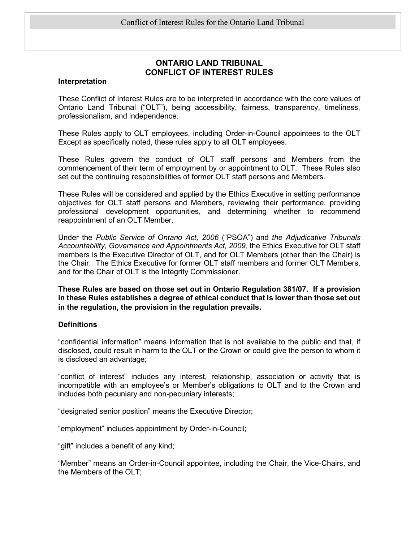# ONTARIO LAND TRIBUNAL CONFLICT OF INTEREST RULES

#### Interpretation

These Conflict of Interest Rules are to be interpreted in accordance with the core values of Ontario Land Tribunal ("OLT"), being accessibility, fairness, transparency, timeliness, professionalism, and independence.

These Rules apply to OLT employees, including Order-in-Council appointees to the OLT Except as specifically noted, these rules apply to all OLT employees.

These Rules govern the conduct of OLT staff persons and Members from the commencement of their term of employment by or appointment to OLT. These Rules also set out the continuing responsibilities of former OLT staff persons and Members.

These Rules will be considered and applied by the Ethics Executive in setting performance objectives for OLT staff persons and Members, reviewing their performance, providing professional development opportunities, and determining whether to recommend reappointment of an OLT Member.

Under the Public Service of Ontario Act, 2006 ("PSOA") and the Adjudicative Tribunals Accountability, Governance and Appointments Act, 2009, the Ethics Executive for OLT staff members is the Executive Director of OLT, and for OLT Members (other than the Chair) is the Chair. The Ethics Executive for former OLT staff members and former OLT Members, and for the Chair of OLT is the Integrity Commissioner.

These Rules are based on those set out in Ontario Regulation 381/07. If a provision in these Rules establishes a degree of ethical conduct that is lower than those set out in the regulation, the provision in the regulation prevails.

#### **Definitions**

"confidential information" means information that is not available to the public and that, if disclosed, could result in harm to the OLT or the Crown or could give the person to whom it is disclosed an advantage;

"conflict of interest" includes any interest, relationship, association or activity that is incompatible with an employee's or Member's obligations to OLT and to the Crown and includes both pecuniary and non-pecuniary interests;

"designated senior position" means the Executive Director;

"employment" includes appointment by Order-in-Council;

"gift" includes a benefit of any kind;

"Member" means an Order-in-Council appointee, including the Chair, the Vice-Chairs, and the Members of the OLT;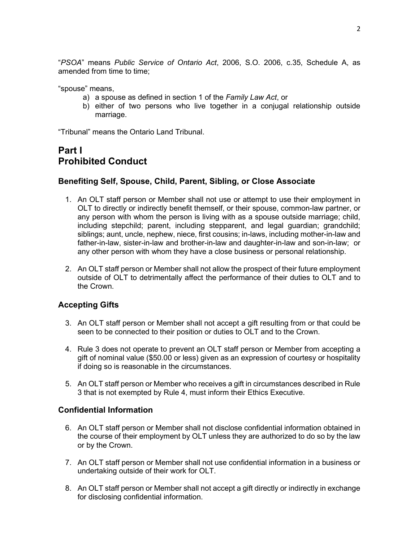"PSOA" means Public Service of Ontario Act, 2006, S.O. 2006, c.35, Schedule A, as amended from time to time;

"spouse" means,

- a) a spouse as defined in section 1 of the Family Law Act, or
- b) either of two persons who live together in a conjugal relationship outside marriage.

"Tribunal" means the Ontario Land Tribunal.

# Part I Prohibited Conduct

## Benefiting Self, Spouse, Child, Parent, Sibling, or Close Associate

- 1. An OLT staff person or Member shall not use or attempt to use their employment in OLT to directly or indirectly benefit themself, or their spouse, common-law partner, or any person with whom the person is living with as a spouse outside marriage; child, including stepchild; parent, including stepparent, and legal guardian; grandchild; siblings; aunt, uncle, nephew, niece, first cousins; in-laws, including mother-in-law and father-in-law, sister-in-law and brother-in-law and daughter-in-law and son-in-law; or any other person with whom they have a close business or personal relationship.
- 2. An OLT staff person or Member shall not allow the prospect of their future employment outside of OLT to detrimentally affect the performance of their duties to OLT and to the Crown.

# Accepting Gifts

- 3. An OLT staff person or Member shall not accept a gift resulting from or that could be seen to be connected to their position or duties to OLT and to the Crown.
- 4. Rule 3 does not operate to prevent an OLT staff person or Member from accepting a gift of nominal value (\$50.00 or less) given as an expression of courtesy or hospitality if doing so is reasonable in the circumstances.
- 5. An OLT staff person or Member who receives a gift in circumstances described in Rule 3 that is not exempted by Rule 4, must inform their Ethics Executive.

## Confidential Information

- 6. An OLT staff person or Member shall not disclose confidential information obtained in the course of their employment by OLT unless they are authorized to do so by the law or by the Crown.
- 7. An OLT staff person or Member shall not use confidential information in a business or undertaking outside of their work for OLT.
- 8. An OLT staff person or Member shall not accept a gift directly or indirectly in exchange for disclosing confidential information.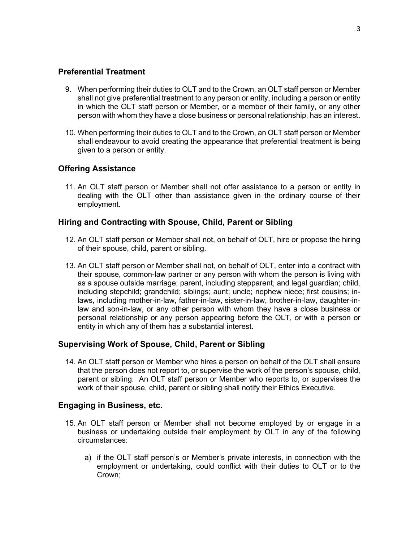## Preferential Treatment

- 9. When performing their duties to OLT and to the Crown, an OLT staff person or Member shall not give preferential treatment to any person or entity, including a person or entity in which the OLT staff person or Member, or a member of their family, or any other person with whom they have a close business or personal relationship, has an interest.
- 10. When performing their duties to OLT and to the Crown, an OLT staff person or Member shall endeavour to avoid creating the appearance that preferential treatment is being given to a person or entity.

# Offering Assistance

11. An OLT staff person or Member shall not offer assistance to a person or entity in dealing with the OLT other than assistance given in the ordinary course of their employment.

# Hiring and Contracting with Spouse, Child, Parent or Sibling

- 12. An OLT staff person or Member shall not, on behalf of OLT, hire or propose the hiring of their spouse, child, parent or sibling.
- 13. An OLT staff person or Member shall not, on behalf of OLT, enter into a contract with their spouse, common-law partner or any person with whom the person is living with as a spouse outside marriage; parent, including stepparent, and legal guardian; child, including stepchild; grandchild; siblings; aunt; uncle; nephew niece; first cousins; inlaws, including mother-in-law, father-in-law, sister-in-law, brother-in-law, daughter-inlaw and son-in-law, or any other person with whom they have a close business or personal relationship or any person appearing before the OLT, or with a person or entity in which any of them has a substantial interest.

# Supervising Work of Spouse, Child, Parent or Sibling

14. An OLT staff person or Member who hires a person on behalf of the OLT shall ensure that the person does not report to, or supervise the work of the person's spouse, child, parent or sibling. An OLT staff person or Member who reports to, or supervises the work of their spouse, child, parent or sibling shall notify their Ethics Executive.

## Engaging in Business, etc.

- 15. An OLT staff person or Member shall not become employed by or engage in a business or undertaking outside their employment by OLT in any of the following circumstances:
	- a) if the OLT staff person's or Member's private interests, in connection with the employment or undertaking, could conflict with their duties to OLT or to the Crown;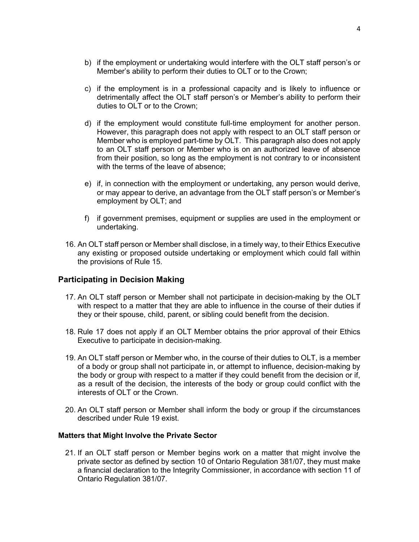- b) if the employment or undertaking would interfere with the OLT staff person's or Member's ability to perform their duties to OLT or to the Crown;
- c) if the employment is in a professional capacity and is likely to influence or detrimentally affect the OLT staff person's or Member's ability to perform their duties to OLT or to the Crown;
- d) if the employment would constitute full-time employment for another person. However, this paragraph does not apply with respect to an OLT staff person or Member who is employed part-time by OLT. This paragraph also does not apply to an OLT staff person or Member who is on an authorized leave of absence from their position, so long as the employment is not contrary to or inconsistent with the terms of the leave of absence;
- e) if, in connection with the employment or undertaking, any person would derive, or may appear to derive, an advantage from the OLT staff person's or Member's employment by OLT; and
- f) if government premises, equipment or supplies are used in the employment or undertaking.
- 16. An OLT staff person or Member shall disclose, in a timely way, to their Ethics Executive any existing or proposed outside undertaking or employment which could fall within the provisions of Rule 15.

# Participating in Decision Making

- 17. An OLT staff person or Member shall not participate in decision-making by the OLT with respect to a matter that they are able to influence in the course of their duties if they or their spouse, child, parent, or sibling could benefit from the decision.
- 18. Rule 17 does not apply if an OLT Member obtains the prior approval of their Ethics Executive to participate in decision-making.
- 19. An OLT staff person or Member who, in the course of their duties to OLT, is a member of a body or group shall not participate in, or attempt to influence, decision-making by the body or group with respect to a matter if they could benefit from the decision or if, as a result of the decision, the interests of the body or group could conflict with the interests of OLT or the Crown.
- 20. An OLT staff person or Member shall inform the body or group if the circumstances described under Rule 19 exist.

#### Matters that Might Involve the Private Sector

21. If an OLT staff person or Member begins work on a matter that might involve the private sector as defined by section 10 of Ontario Regulation 381/07, they must make a financial declaration to the Integrity Commissioner, in accordance with section 11 of Ontario Regulation 381/07.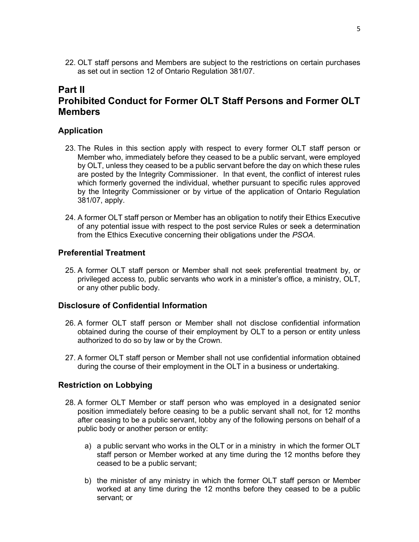22. OLT staff persons and Members are subject to the restrictions on certain purchases as set out in section 12 of Ontario Regulation 381/07.

# Part II Prohibited Conduct for Former OLT Staff Persons and Former OLT **Members**

## Application

- 23. The Rules in this section apply with respect to every former OLT staff person or Member who, immediately before they ceased to be a public servant, were employed by OLT, unless they ceased to be a public servant before the day on which these rules are posted by the Integrity Commissioner. In that event, the conflict of interest rules which formerly governed the individual, whether pursuant to specific rules approved by the Integrity Commissioner or by virtue of the application of Ontario Regulation 381/07, apply.
- 24. A former OLT staff person or Member has an obligation to notify their Ethics Executive of any potential issue with respect to the post service Rules or seek a determination from the Ethics Executive concerning their obligations under the PSOA.

# Preferential Treatment

25. A former OLT staff person or Member shall not seek preferential treatment by, or privileged access to, public servants who work in a minister's office, a ministry, OLT, or any other public body.

#### Disclosure of Confidential Information

- 26. A former OLT staff person or Member shall not disclose confidential information obtained during the course of their employment by OLT to a person or entity unless authorized to do so by law or by the Crown.
- 27. A former OLT staff person or Member shall not use confidential information obtained during the course of their employment in the OLT in a business or undertaking.

## Restriction on Lobbying

- 28. A former OLT Member or staff person who was employed in a designated senior position immediately before ceasing to be a public servant shall not, for 12 months after ceasing to be a public servant, lobby any of the following persons on behalf of a public body or another person or entity:
	- a) a public servant who works in the OLT or in a ministry in which the former OLT staff person or Member worked at any time during the 12 months before they ceased to be a public servant;
	- b) the minister of any ministry in which the former OLT staff person or Member worked at any time during the 12 months before they ceased to be a public servant; or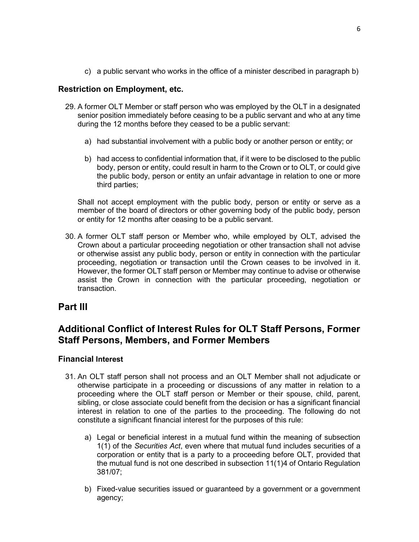c) a public servant who works in the office of a minister described in paragraph b)

# Restriction on Employment, etc.

- 29. A former OLT Member or staff person who was employed by the OLT in a designated senior position immediately before ceasing to be a public servant and who at any time during the 12 months before they ceased to be a public servant:
	- a) had substantial involvement with a public body or another person or entity; or
	- b) had access to confidential information that, if it were to be disclosed to the public body, person or entity, could result in harm to the Crown or to OLT, or could give the public body, person or entity an unfair advantage in relation to one or more third parties;

Shall not accept employment with the public body, person or entity or serve as a member of the board of directors or other governing body of the public body, person or entity for 12 months after ceasing to be a public servant.

30. A former OLT staff person or Member who, while employed by OLT, advised the Crown about a particular proceeding negotiation or other transaction shall not advise or otherwise assist any public body, person or entity in connection with the particular proceeding, negotiation or transaction until the Crown ceases to be involved in it. However, the former OLT staff person or Member may continue to advise or otherwise assist the Crown in connection with the particular proceeding, negotiation or transaction.

# Part III

# Additional Conflict of Interest Rules for OLT Staff Persons, Former Staff Persons, Members, and Former Members

# Financial Interest

- 31. An OLT staff person shall not process and an OLT Member shall not adjudicate or otherwise participate in a proceeding or discussions of any matter in relation to a proceeding where the OLT staff person or Member or their spouse, child, parent, sibling, or close associate could benefit from the decision or has a significant financial interest in relation to one of the parties to the proceeding. The following do not constitute a significant financial interest for the purposes of this rule:
	- a) Legal or beneficial interest in a mutual fund within the meaning of subsection 1(1) of the Securities Act, even where that mutual fund includes securities of a corporation or entity that is a party to a proceeding before OLT, provided that the mutual fund is not one described in subsection 11(1)4 of Ontario Regulation 381/07;
	- b) Fixed-value securities issued or guaranteed by a government or a government agency;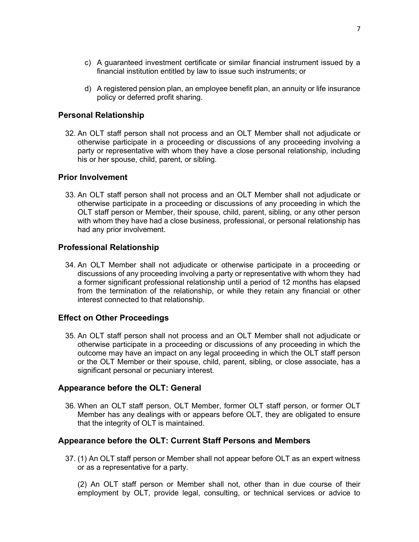- c) A guaranteed investment certificate or similar financial instrument issued by a financial institution entitled by law to issue such instruments; or
- d) A registered pension plan, an employee benefit plan, an annuity or life insurance policy or deferred profit sharing.

## Personal Relationship

32. An OLT staff person shall not process and an OLT Member shall not adjudicate or otherwise participate in a proceeding or discussions of any proceeding involving a party or representative with whom they have a close personal relationship, including his or her spouse, child, parent, or sibling.

## Prior Involvement

33. An OLT staff person shall not process and an OLT Member shall not adjudicate or otherwise participate in a proceeding or discussions of any proceeding in which the OLT staff person or Member, their spouse, child, parent, sibling, or any other person with whom they have had a close business, professional, or personal relationship has had any prior involvement.

## Professional Relationship

34. An OLT Member shall not adjudicate or otherwise participate in a proceeding or discussions of any proceeding involving a party or representative with whom they had a former significant professional relationship until a period of 12 months has elapsed from the termination of the relationship, or while they retain any financial or other interest connected to that relationship.

## Effect on Other Proceedings

35. An OLT staff person shall not process and an OLT Member shall not adjudicate or otherwise participate in a proceeding or discussions of any proceeding in which the outcome may have an impact on any legal proceeding in which the OLT staff person or the OLT Member or their spouse, child, parent, sibling, or close associate, has a significant personal or pecuniary interest.

## Appearance before the OLT: General

36. When an OLT staff person, OLT Member, former OLT staff person, or former OLT Member has any dealings with or appears before OLT, they are obligated to ensure that the integrity of OLT is maintained.

## Appearance before the OLT: Current Staff Persons and Members

37. (1) An OLT staff person or Member shall not appear before OLT as an expert witness or as a representative for a party.

(2) An OLT staff person or Member shall not, other than in due course of their employment by OLT, provide legal, consulting, or technical services or advice to